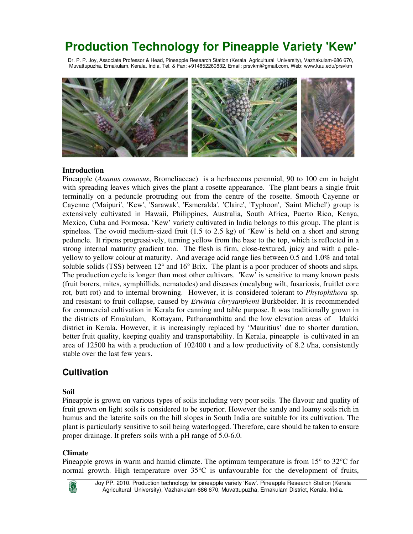# **Production Technology for Pineapple Variety 'Kew'**

Dr. P. P. Joy, Associate Professor & Head, Pineapple Research Station (Kerala Agricultural University), Vazhakulam-686 670, Muvattupuzha, Ernakulam, Kerala, India. Tel. & Fax: +914852260832, Email: prsvkm@gmail.com, Web: www.kau.edu/prsvkm



## **Introduction**

Pineapple (*Ananus comosus*, Bromeliaceae) is a herbaceous perennial, 90 to 100 cm in height with spreading leaves which gives the plant a rosette appearance. The plant bears a single fruit terminally on a peduncle protruding out from the centre of the rosette. Smooth Cayenne or Cayenne ('Maipuri', 'Kew', 'Sarawak', 'Esmeralda', 'Claire', 'Typhoon', 'Saint Michel') group is extensively cultivated in Hawaii, Philippines, Australia, South Africa, Puerto Rico, Kenya, Mexico, Cuba and Formosa. 'Kew' variety cultivated in India belongs to this group. The plant is spineless. The ovoid medium-sized fruit (1.5 to 2.5 kg) of 'Kew' is held on a short and strong peduncle. It ripens progressively, turning yellow from the base to the top, which is reflected in a strong internal maturity gradient too. The flesh is firm, close-textured, juicy and with a paleyellow to yellow colour at maturity. And average acid range lies between 0.5 and 1.0% and total soluble solids (TSS) between 12° and 16° Brix. The plant is a poor producer of shoots and slips. The production cycle is longer than most other cultivars. 'Kew' is sensitive to many known pests (fruit borers, mites, symphillids, nematodes) and diseases (mealybug wilt, fusariosis, fruitlet core rot, butt rot) and to internal browning. However, it is considered tolerant to *Phytophthora* sp. and resistant to fruit collapse, caused by *Erwinia chrysanthemi* Burkbolder. It is recommended for commercial cultivation in Kerala for canning and table purpose. It was traditionally grown in the districts of Ernakulam, Kottayam, Pathanamthitta and the low elevation areas of Idukki district in Kerala. However, it is increasingly replaced by 'Mauritius' due to shorter duration, better fruit quality, keeping quality and transportability. In Kerala, pineapple is cultivated in an area of 12500 ha with a production of 102400 t and a low productivity of 8.2 t/ha, consistently stable over the last few years.

# **Cultivation**

# **Soil**

Pineapple is grown on various types of soils including very poor soils. The flavour and quality of fruit grown on light soils is considered to be superior. However the sandy and loamy soils rich in humus and the laterite soils on the hill slopes in South India are suitable for its cultivation. The plant is particularly sensitive to soil being waterlogged. Therefore, care should be taken to ensure proper drainage. It prefers soils with a pH range of 5.0-6.0.

# **Climate**

Pineapple grows in warm and humid climate. The optimum temperature is from 15° to 32°C for normal growth. High temperature over 35°C is unfavourable for the development of fruits,



Joy PP. 2010. Production technology for pineapple variety 'Kew'. Pineapple Research Station (Kerala Agricultural University), Vazhakulam-686 670, Muvattupuzha, Ernakulam District, Kerala, India.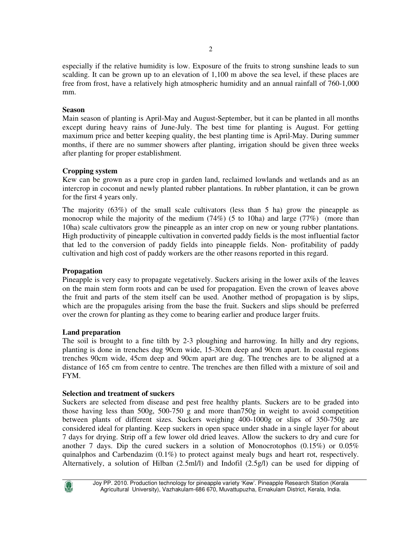especially if the relative humidity is low. Exposure of the fruits to strong sunshine leads to sun scalding. It can be grown up to an elevation of 1,100 m above the sea level, if these places are free from frost, have a relatively high atmospheric humidity and an annual rainfall of 760-1,000 mm.

# **Season**

Main season of planting is April-May and August-September, but it can be planted in all months except during heavy rains of June-July. The best time for planting is August. For getting maximum price and better keeping quality, the best planting time is April-May. During summer months, if there are no summer showers after planting, irrigation should be given three weeks after planting for proper establishment.

# **Cropping system**

Kew can be grown as a pure crop in garden land, reclaimed lowlands and wetlands and as an intercrop in coconut and newly planted rubber plantations. In rubber plantation, it can be grown for the first 4 years only.

The majority (63%) of the small scale cultivators (less than 5 ha) grow the pineapple as monocrop while the majority of the medium  $(74%)$  (5 to 10ha) and large  $(77%)$  (more than 10ha) scale cultivators grow the pineapple as an inter crop on new or young rubber plantations. High productivity of pineapple cultivation in converted paddy fields is the most influential factor that led to the conversion of paddy fields into pineapple fields. Non- profitability of paddy cultivation and high cost of paddy workers are the other reasons reported in this regard.

# **Propagation**

Pineapple is very easy to propagate vegetatively. Suckers arising in the lower axils of the leaves on the main stem form roots and can be used for propagation. Even the crown of leaves above the fruit and parts of the stem itself can be used. Another method of propagation is by slips, which are the propagules arising from the base the fruit. Suckers and slips should be preferred over the crown for planting as they come to bearing earlier and produce larger fruits.

#### **Land preparation**

The soil is brought to a fine tilth by 2-3 ploughing and harrowing. In hilly and dry regions, planting is done in trenches dug 90cm wide, 15-30cm deep and 90cm apart. In coastal regions trenches 90cm wide, 45cm deep and 90cm apart are dug. The trenches are to be aligned at a distance of 165 cm from centre to centre. The trenches are then filled with a mixture of soil and FYM.

#### **Selection and treatment of suckers**

Suckers are selected from disease and pest free healthy plants. Suckers are to be graded into those having less than 500g, 500-750 g and more than750g in weight to avoid competition between plants of different sizes. Suckers weighing 400-1000g or slips of 350-750g are considered ideal for planting. Keep suckers in open space under shade in a single layer for about 7 days for drying. Strip off a few lower old dried leaves. Allow the suckers to dry and cure for another 7 days. Dip the cured suckers in a solution of Monocrotophos  $(0.15\%)$  or  $0.05\%$ quinalphos and Carbendazim  $(0.1\%)$  to protect against mealy bugs and heart rot, respectively. Alternatively, a solution of Hilban (2.5ml/l) and Indofil (2.5g/l) can be used for dipping of

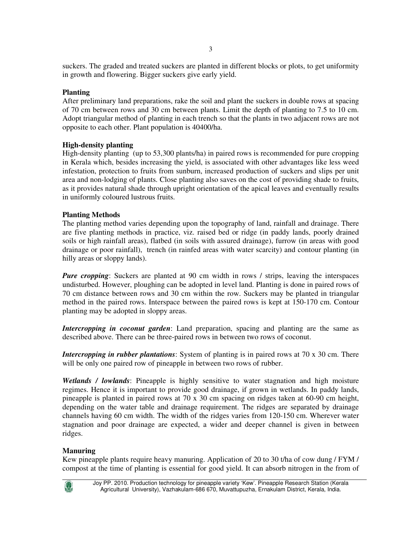suckers. The graded and treated suckers are planted in different blocks or plots, to get uniformity in growth and flowering. Bigger suckers give early yield.

## **Planting**

After preliminary land preparations, rake the soil and plant the suckers in double rows at spacing of 70 cm between rows and 30 cm between plants. Limit the depth of planting to 7.5 to 10 cm. Adopt triangular method of planting in each trench so that the plants in two adjacent rows are not opposite to each other. Plant population is 40400/ha.

## **High-density planting**

High-density planting (up to 53,300 plants/ha) in paired rows is recommended for pure cropping in Kerala which, besides increasing the yield, is associated with other advantages like less weed infestation, protection to fruits from sunburn, increased production of suckers and slips per unit area and non-lodging of plants. Close planting also saves on the cost of providing shade to fruits, as it provides natural shade through upright orientation of the apical leaves and eventually results in uniformly coloured lustrous fruits.

## **Planting Methods**

The planting method varies depending upon the topography of land, rainfall and drainage. There are five planting methods in practice, viz. raised bed or ridge (in paddy lands, poorly drained soils or high rainfall areas), flatbed (in soils with assured drainage), furrow (in areas with good drainage or poor rainfall), trench (in rainfed areas with water scarcity) and contour planting (in hilly areas or sloppy lands).

*Pure cropping*: Suckers are planted at 90 cm width in rows / strips, leaving the interspaces undisturbed. However, ploughing can be adopted in level land. Planting is done in paired rows of 70 cm distance between rows and 30 cm within the row. Suckers may be planted in triangular method in the paired rows. Interspace between the paired rows is kept at 150-170 cm. Contour planting may be adopted in sloppy areas.

*Intercropping in coconut garden*: Land preparation, spacing and planting are the same as described above. There can be three-paired rows in between two rows of coconut.

*Intercropping in rubber plantations*: System of planting is in paired rows at 70 x 30 cm. There will be only one paired row of pineapple in between two rows of rubber.

*Wetlands / lowlands*: Pineapple is highly sensitive to water stagnation and high moisture regimes. Hence it is important to provide good drainage, if grown in wetlands. In paddy lands, pineapple is planted in paired rows at 70 x 30 cm spacing on ridges taken at 60-90 cm height, depending on the water table and drainage requirement. The ridges are separated by drainage channels having 60 cm width. The width of the ridges varies from 120-150 cm. Wherever water stagnation and poor drainage are expected, a wider and deeper channel is given in between ridges.

# **Manuring**

Kew pineapple plants require heavy manuring. Application of 20 to 30 t/ha of cow dung / FYM / compost at the time of planting is essential for good yield. It can absorb nitrogen in the from of

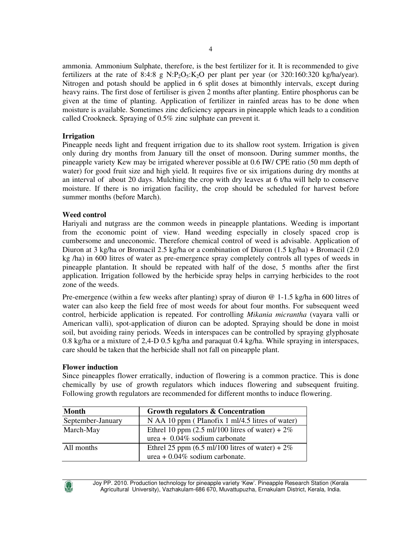ammonia. Ammonium Sulphate, therefore, is the best fertilizer for it. It is recommended to give fertilizers at the rate of 8:4:8 g N:P<sub>2</sub>O<sub>5</sub>:K<sub>2</sub>O per plant per year (or 320:160:320 kg/ha/year). Nitrogen and potash should be applied in 6 split doses at bimonthly intervals, except during heavy rains. The first dose of fertiliser is given 2 months after planting. Entire phosphorus can be given at the time of planting. Application of fertilizer in rainfed areas has to be done when moisture is available. Sometimes zinc deficiency appears in pineapple which leads to a condition called Crookneck. Spraying of 0.5% zinc sulphate can prevent it.

# **Irrigation**

Pineapple needs light and frequent irrigation due to its shallow root system. Irrigation is given only during dry months from January till the onset of monsoon. During summer months, the pineapple variety Kew may be irrigated wherever possible at 0.6 IW/ CPE ratio (50 mm depth of water) for good fruit size and high yield. It requires five or six irrigations during dry months at an interval of about 20 days. Mulching the crop with dry leaves at 6 t/ha will help to conserve moisture. If there is no irrigation facility, the crop should be scheduled for harvest before summer months (before March).

## **Weed control**

Hariyali and nutgrass are the common weeds in pineapple plantations. Weeding is important from the economic point of view. Hand weeding especially in closely spaced crop is cumbersome and uneconomic. Therefore chemical control of weed is advisable. Application of Diuron at 3 kg/ha or Bromacil 2.5 kg/ha or a combination of Diuron (1.5 kg/ha) + Bromacil (2.0 kg /ha) in 600 litres of water as pre-emergence spray completely controls all types of weeds in pineapple plantation. It should be repeated with half of the dose, 5 months after the first application. Irrigation followed by the herbicide spray helps in carrying herbicides to the root zone of the weeds.

Pre-emergence (within a few weeks after planting) spray of diuron @ 1-1.5 kg/ha in 600 litres of water can also keep the field free of most weeds for about four months. For subsequent weed control, herbicide application is repeated. For controlling *Mikania micrantha* (vayara valli or American valli), spot-application of diuron can be adopted. Spraying should be done in moist soil, but avoiding rainy periods. Weeds in interspaces can be controlled by spraying glyphosate 0.8 kg/ha or a mixture of 2,4-D 0.5 kg/ha and paraquat 0.4 kg/ha. While spraying in interspaces, care should be taken that the herbicide shall not fall on pineapple plant.

#### **Flower induction**

Since pineapples flower erratically, induction of flowering is a common practice. This is done chemically by use of growth regulators which induces flowering and subsequent fruiting. Following growth regulators are recommended for different months to induce flowering.

| <b>Month</b>      | <b>Growth regulators &amp; Concentration</b>                       |
|-------------------|--------------------------------------------------------------------|
| September-January | N AA 10 ppm (Planofix 1 ml/4.5 litres of water)                    |
| March-May         | Ethrel 10 ppm $(2.5 \text{ ml}/100 \text{ litres of water}) + 2\%$ |
|                   | urea + $0.04\%$ sodium carbonate                                   |
| All months        | Ethrel 25 ppm (6.5 ml/100 litres of water) + $2\%$                 |
|                   | urea + $0.04\%$ sodium carbonate.                                  |

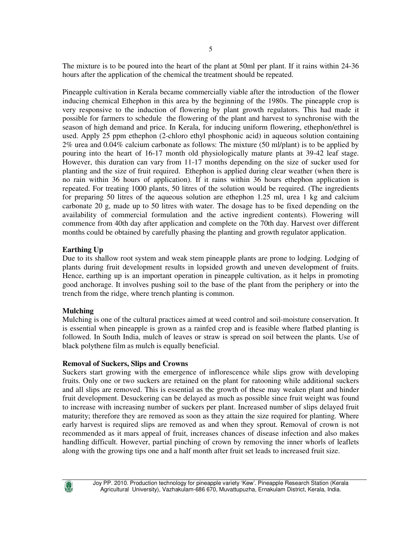The mixture is to be poured into the heart of the plant at 50ml per plant. If it rains within 24-36 hours after the application of the chemical the treatment should be repeated.

Pineapple cultivation in Kerala became commercially viable after the introduction of the flower inducing chemical Ethephon in this area by the beginning of the 1980s. The pineapple crop is very responsive to the induction of flowering by plant growth regulators. This had made it possible for farmers to schedule the flowering of the plant and harvest to synchronise with the season of high demand and price. In Kerala, for inducing uniform flowering, ethephon/ethrel is used. Apply 25 ppm ethephon (2-chloro ethyl phosphonic acid) in aqueous solution containing 2% urea and 0.04% calcium carbonate as follows: The mixture (50 ml/plant) is to be applied by pouring into the heart of 16-17 month old physiologically mature plants at 39-42 leaf stage. However, this duration can vary from 11-17 months depending on the size of sucker used for planting and the size of fruit required. Ethephon is applied during clear weather (when there is no rain within 36 hours of application). If it rains within 36 hours ethephon application is repeated. For treating 1000 plants, 50 litres of the solution would be required. (The ingredients for preparing 50 litres of the aqueous solution are ethephon 1.25 ml, urea 1 kg and calcium carbonate 20 g, made up to 50 litres with water. The dosage has to be fixed depending on the availability of commercial formulation and the active ingredient contents). Flowering will commence from 40th day after application and complete on the 70th day. Harvest over different months could be obtained by carefully phasing the planting and growth regulator application.

# **Earthing Up**

Due to its shallow root system and weak stem pineapple plants are prone to lodging. Lodging of plants during fruit development results in lopsided growth and uneven development of fruits. Hence, earthing up is an important operation in pineapple cultivation, as it helps in promoting good anchorage. It involves pushing soil to the base of the plant from the periphery or into the trench from the ridge, where trench planting is common.

# **Mulching**

Mulching is one of the cultural practices aimed at weed control and soil-moisture conservation. It is essential when pineapple is grown as a rainfed crop and is feasible where flatbed planting is followed. In South India, mulch of leaves or straw is spread on soil between the plants. Use of black polythene film as mulch is equally beneficial.

#### **Removal of Suckers, Slips and Crowns**

Suckers start growing with the emergence of inflorescence while slips grow with developing fruits. Only one or two suckers are retained on the plant for ratooning while additional suckers and all slips are removed. This is essential as the growth of these may weaken plant and hinder fruit development. Desuckering can be delayed as much as possible since fruit weight was found to increase with increasing number of suckers per plant. Increased number of slips delayed fruit maturity; therefore they are removed as soon as they attain the size required for planting. Where early harvest is required slips are removed as and when they sprout. Removal of crown is not recommended as it mars appeal of fruit, increases chances of disease infection and also makes handling difficult. However, partial pinching of crown by removing the inner whorls of leaflets along with the growing tips one and a half month after fruit set leads to increased fruit size.

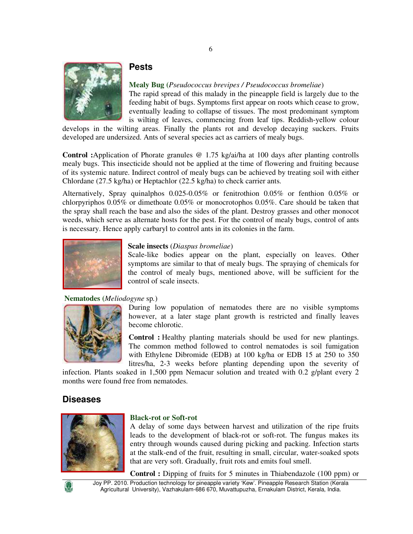

# **Pests**

**Mealy Bug (***Pseudococcus brevipes / Pseudococcus bromeliae*)

The rapid spread of this malady in the pineapple field is largely due to the feeding habit of bugs. Symptoms first appear on roots which cease to grow, eventually leading to collapse of tissues. The most predominant symptom is wilting of leaves, commencing from leaf tips. Reddish-yellow colour

develops in the wilting areas. Finally the plants rot and develop decaying suckers. Fruits developed are undersized. Ants of several species act as carriers of mealy bugs.

**Control :**Application of Phorate granules @ 1.75 kg/ai/ha at 100 days after planting controlls mealy bugs. This insecticide should not be applied at the time of flowering and fruiting because of its systemic nature. Indirect control of mealy bugs can be achieved by treating soil with either Chlordane (27.5 kg/ha) or Heptachlor (22.5 kg/ha) to check carrier ants.

Alternatively, Spray quinalphos 0.025-0.05% or fenitrothion 0.05% or fenthion 0.05% or chlorpyriphos 0.05% or dimethoate 0.05% or monocrotophos 0.05%. Care should be taken that the spray shall reach the base and also the sides of the plant. Destroy grasses and other monocot weeds, which serve as alternate hosts for the pest. For the control of mealy bugs, control of ants is necessary. Hence apply carbaryl to control ants in its colonies in the farm.



#### **Scale insects** (*Diaspus bromeliae*)

Scale-like bodies appear on the plant, especially on leaves. Other symptoms are similar to that of mealy bugs. The spraying of chemicals for the control of mealy bugs, mentioned above, will be sufficient for the control of scale insects.

#### **Nematodes (***Meliodogyne* sp*.*)



During low population of nematodes there are no visible symptoms however, at a later stage plant growth is restricted and finally leaves become chlorotic.

**Control :** Healthy planting materials should be used for new plantings. The common method followed to control nematodes is soil fumigation with Ethylene Dibromide (EDB) at 100 kg/ha or EDB 15 at 250 to 350 litres/ha, 2-3 weeks before planting depending upon the severity of

infection. Plants soaked in 1,500 ppm Nemacur solution and treated with 0.2 g/plant every 2 months were found free from nematodes.

# **Diseases**



#### **Black-rot or Soft-rot**

A delay of some days between harvest and utilization of the ripe fruits leads to the development of black-rot or soft-rot. The fungus makes its entry through wounds caused during picking and packing. Infection starts at the stalk-end of the fruit, resulting in small, circular, water-soaked spots that are very soft. Gradually, fruit rots and emits foul smell.

**Control :** Dipping of fruits for 5 minutes in Thiabendazole (100 ppm) or

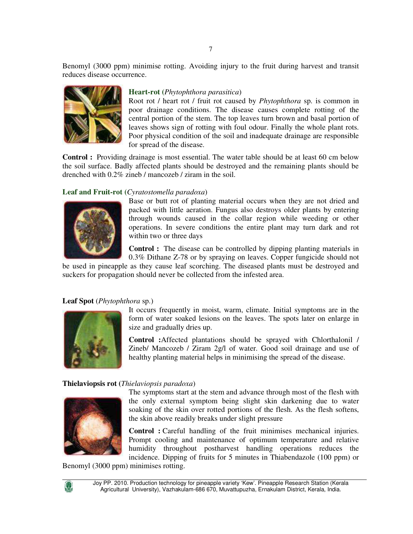Benomyl (3000 ppm) minimise rotting. Avoiding injury to the fruit during harvest and transit reduces disease occurrence.



# **Heart-rot (***Phytophthora parasitica*)

Root rot / heart rot / fruit rot caused by *Phytophthora* sp. is common in poor drainage conditions. The disease causes complete rotting of the central portion of the stem. The top leaves turn brown and basal portion of leaves shows sign of rotting with foul odour. Finally the whole plant rots. Poor physical condition of the soil and inadequate drainage are responsible for spread of the disease.

**Control :** Providing drainage is most essential. The water table should be at least 60 cm below the soil surface. Badly affected plants should be destroyed and the remaining plants should be drenched with 0.2% zineb / mancozeb / ziram in the soil.

#### **Leaf and Fruit-rot (***Cyratostomella paradoxa*)



Base or butt rot of planting material occurs when they are not dried and packed with little aeration. Fungus also destroys older plants by entering through wounds caused in the collar region while weeding or other operations. In severe conditions the entire plant may turn dark and rot within two or three days

**Control :** The disease can be controlled by dipping planting materials in 0.3% Dithane Z-78 or by spraying on leaves. Copper fungicide should not

be used in pineapple as they cause leaf scorching. The diseased plants must be destroyed and suckers for propagation should never be collected from the infested area.

#### **Leaf Spot** (*Phytophthora* sp.)



It occurs frequently in moist, warm, climate. Initial symptoms are in the form of water soaked lesions on the leaves. The spots later on enlarge in size and gradually dries up.

**Control :**Affected plantations should be sprayed with Chlorthalonil / Zineb/ Mancozeb / Ziram 2g/l of water. Good soil drainage and use of healthy planting material helps in minimising the spread of the disease.

#### **Thielaviopsis rot (***Thielaviopsis paradoxa*)



The symptoms start at the stem and advance through most of the flesh with the only external symptom being slight skin darkening due to water soaking of the skin over rotted portions of the flesh. As the flesh softens, the skin above readily breaks under slight pressure

**Control :** Careful handling of the fruit minimises mechanical injuries. Prompt cooling and maintenance of optimum temperature and relative humidity throughout postharvest handling operations reduces the incidence. Dipping of fruits for 5 minutes in Thiabendazole (100 ppm) or

Benomyl (3000 ppm) minimises rotting.

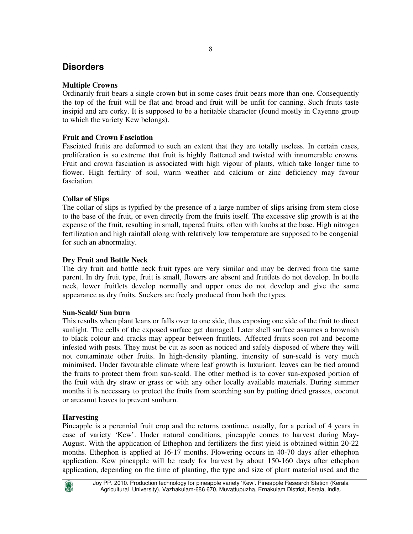# **Disorders**

# **Multiple Crowns**

Ordinarily fruit bears a single crown but in some cases fruit bears more than one. Consequently the top of the fruit will be flat and broad and fruit will be unfit for canning. Such fruits taste insipid and are corky. It is supposed to be a heritable character (found mostly in Cayenne group to which the variety Kew belongs).

# **Fruit and Crown Fasciation**

Fasciated fruits are deformed to such an extent that they are totally useless. In certain cases, proliferation is so extreme that fruit is highly flattened and twisted with innumerable crowns. Fruit and crown fasciation is associated with high vigour of plants, which take longer time to flower. High fertility of soil, warm weather and calcium or zinc deficiency may favour fasciation.

# **Collar of Slips**

The collar of slips is typified by the presence of a large number of slips arising from stem close to the base of the fruit, or even directly from the fruits itself. The excessive slip growth is at the expense of the fruit, resulting in small, tapered fruits, often with knobs at the base. High nitrogen fertilization and high rainfall along with relatively low temperature are supposed to be congenial for such an abnormality.

# **Dry Fruit and Bottle Neck**

The dry fruit and bottle neck fruit types are very similar and may be derived from the same parent. In dry fruit type, fruit is small, flowers are absent and fruitlets do not develop. In bottle neck, lower fruitlets develop normally and upper ones do not develop and give the same appearance as dry fruits. Suckers are freely produced from both the types.

# **Sun-Scald/ Sun burn**

This results when plant leans or falls over to one side, thus exposing one side of the fruit to direct sunlight. The cells of the exposed surface get damaged. Later shell surface assumes a brownish to black colour and cracks may appear between fruitlets. Affected fruits soon rot and become infested with pests. They must be cut as soon as noticed and safely disposed of where they will not contaminate other fruits. In high-density planting, intensity of sun-scald is very much minimised. Under favourable climate where leaf growth is luxuriant, leaves can be tied around the fruits to protect them from sun-scald. The other method is to cover sun-exposed portion of the fruit with dry straw or grass or with any other locally available materials. During summer months it is necessary to protect the fruits from scorching sun by putting dried grasses, coconut or arecanut leaves to prevent sunburn.

# **Harvesting**

Pineapple is a perennial fruit crop and the returns continue, usually, for a period of 4 years in case of variety 'Kew'. Under natural conditions, pineapple comes to harvest during May-August. With the application of Ethephon and fertilizers the first yield is obtained within 20-22 months. Ethephon is applied at 16-17 months. Flowering occurs in 40-70 days after ethephon application. Kew pineapple will be ready for harvest by about 150-160 days after ethephon application, depending on the time of planting, the type and size of plant material used and the

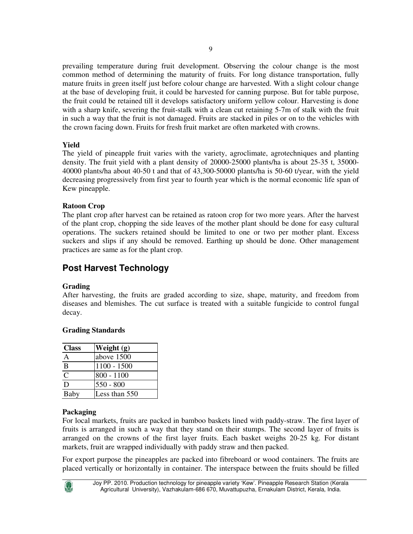prevailing temperature during fruit development. Observing the colour change is the most common method of determining the maturity of fruits. For long distance transportation, fully mature fruits in green itself just before colour change are harvested. With a slight colour change at the base of developing fruit, it could be harvested for canning purpose. But for table purpose, the fruit could be retained till it develops satisfactory uniform yellow colour. Harvesting is done with a sharp knife, severing the fruit-stalk with a clean cut retaining 5-7m of stalk with the fruit in such a way that the fruit is not damaged. Fruits are stacked in piles or on to the vehicles with

the crown facing down. Fruits for fresh fruit market are often marketed with crowns.

#### **Yield**

The yield of pineapple fruit varies with the variety, agroclimate, agrotechniques and planting density. The fruit yield with a plant density of 20000-25000 plants/ha is about 25-35 t, 35000- 40000 plants/ha about 40-50 t and that of 43,300-50000 plants/ha is 50-60 t/year, with the yield decreasing progressively from first year to fourth year which is the normal economic life span of Kew pineapple.

## **Ratoon Crop**

The plant crop after harvest can be retained as ratoon crop for two more years. After the harvest of the plant crop, chopping the side leaves of the mother plant should be done for easy cultural operations. The suckers retained should be limited to one or two per mother plant. Excess suckers and slips if any should be removed. Earthing up should be done. Other management practices are same as for the plant crop.

# **Post Harvest Technology**

#### **Grading**

After harvesting, the fruits are graded according to size, shape, maturity, and freedom from diseases and blemishes. The cut surface is treated with a suitable fungicide to control fungal decay.

# **Grading Standards**

| <b>Class</b>   | Weight (g)    |
|----------------|---------------|
| А              | above 1500    |
| $\overline{B}$ | $1100 - 1500$ |
| C              | $800 - 1100$  |
| D              | $550 - 800$   |
| Baby           | Less than 550 |

#### **Packaging**

For local markets, fruits are packed in bamboo baskets lined with paddy-straw. The first layer of fruits is arranged in such a way that they stand on their stumps. The second layer of fruits is arranged on the crowns of the first layer fruits. Each basket weighs 20-25 kg. For distant markets, fruit are wrapped individually with paddy straw and then packed.

For export purpose the pineapples are packed into fibreboard or wood containers. The fruits are placed vertically or horizontally in container. The interspace between the fruits should be filled

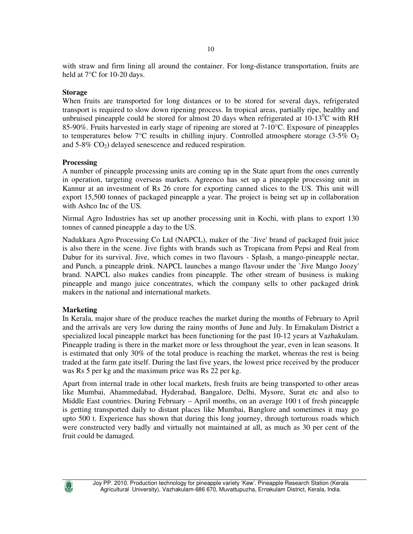with straw and firm lining all around the container. For long-distance transportation, fruits are held at 7°C for 10-20 days.

#### **Storage**

When fruits are transported for long distances or to be stored for several days, refrigerated transport is required to slow down ripening process. In tropical areas, partially ripe, healthy and unbruised pineapple could be stored for almost 20 days when refrigerated at  $10\text{-}13^0\text{C}$  with RH 85-90%. Fruits harvested in early stage of ripening are stored at 7-10°C. Exposure of pineapples to temperatures below  $7^{\circ}$ C results in chilling injury. Controlled atmosphere storage (3-5% O<sub>2</sub>) and 5-8% CO2) delayed senescence and reduced respiration.

#### **Processing**

A number of pineapple processing units are coming up in the State apart from the ones currently in operation, targeting overseas markets. Agreenco has set up a pineapple processing unit in Kannur at an investment of Rs 26 crore for exporting canned slices to the US. This unit will export 15,500 tonnes of packaged pineapple a year. The project is being set up in collaboration with Ashco Inc of the US.

Nirmal Agro Industries has set up another processing unit in Kochi, with plans to export 130 tonnes of canned pineapple a day to the US.

Nadukkara Agro Processing Co Ltd (NAPCL), maker of the `Jive' brand of packaged fruit juice is also there in the scene. Jive fights with brands such as Tropicana from Pepsi and Real from Dabur for its survival. Jive, which comes in two flavours - Splash, a mango-pineapple nectar, and Punch, a pineapple drink. NAPCL launches a mango flavour under the `Jive Mango Joozy' brand. NAPCL also makes candies from pineapple. The other stream of business is making pineapple and mango juice concentrates, which the company sells to other packaged drink makers in the national and international markets.

# **Marketing**

In Kerala, major share of the produce reaches the market during the months of February to April and the arrivals are very low during the rainy months of June and July. In Ernakulam District a specialized local pineapple market has been functioning for the past 10-12 years at Vazhakulam. Pineapple trading is there in the market more or less throughout the year, even in lean seasons. It is estimated that only 30% of the total produce is reaching the market, whereas the rest is being traded at the farm gate itself. During the last five years, the lowest price received by the producer was Rs 5 per kg and the maximum price was Rs 22 per kg.

Apart from internal trade in other local markets, fresh fruits are being transported to other areas like Mumbai, Ahammedabad, Hyderabad, Bangalore, Delhi, Mysore, Surat etc and also to Middle East countries. During February – April months, on an average 100 t of fresh pineapple is getting transported daily to distant places like Mumbai, Banglore and sometimes it may go upto 500 t. Experience has shown that during this long journey, through torturous roads which were constructed very badly and virtually not maintained at all, as much as 30 per cent of the fruit could be damaged.